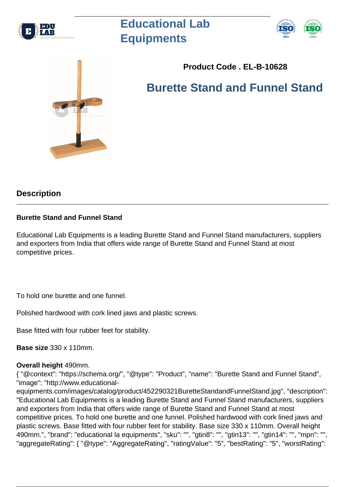

# **Educational Lab Equipments**





# **Product Code . EL-B-10628**

**Burette Stand and Funnel Stand**

## **Description**

### **Burette Stand and Funnel Stand**

Educational Lab Equipments is a leading Burette Stand and Funnel Stand manufacturers, suppliers and exporters from India that offers wide range of Burette Stand and Funnel Stand at most competitive prices.

To hold one burette and one funnel.

Polished hardwood with cork lined jaws and plastic screws.

Base fitted with four rubber feet for stability.

**Base size** 330 x 110mm.

### **Overall height** 490mm.

{ "@context": "https://schema.org/", "@type": "Product", "name": "Burette Stand and Funnel Stand", "image": "http://www.educational-

equipments.com/images/catalog/product/452290321BuretteStandandFunnelStand.jpg", "description": "Educational Lab Equipments is a leading Burette Stand and Funnel Stand manufacturers, suppliers and exporters from India that offers wide range of Burette Stand and Funnel Stand at most competitive prices. To hold one burette and one funnel. Polished hardwood with cork lined jaws and plastic screws. Base fitted with four rubber feet for stability. Base size 330 x 110mm. Overall height 490mm.", "brand": "educational la equipments", "sku": "", "gtin8": "", "gtin13": "", "gtin14": "", "mpn": "", "aggregateRating": { "@type": "AggregateRating", "ratingValue": "5", "bestRating": "5", "worstRating":